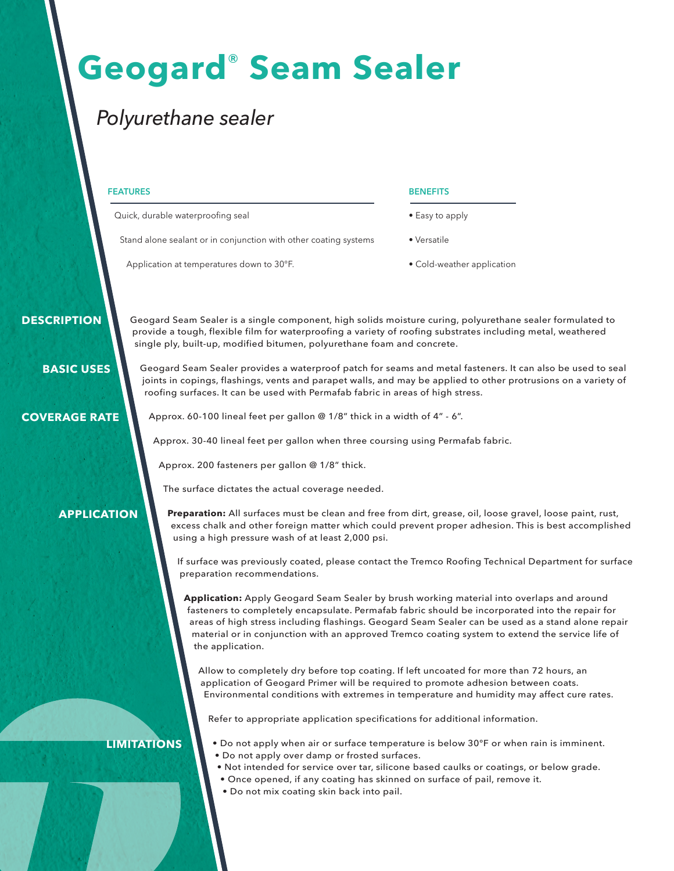# **Geogard**® **Seam Sealer**

### *Polyurethane sealer*

#### **FEATURES**

Quick, durable waterproofing seal

Stand alone sealant or in conjunction with other coating systems

Application at temperatures down to 30°F.

#### **BENEFITS**

• Easy to apply

• Versatile

• Cold-weather application

 **DESCRIPTION**

Geogard Seam Sealer is a single component, high solids moisture curing, polyurethane sealer formulated to provide a tough, flexible film for waterproofing a variety of roofing substrates including metal, weathered single ply, built-up, modified bitumen, polyurethane foam and concrete.

 **BASIC USES**

**COVERAGE RATE**

Geogard Seam Sealer provides a waterproof patch for seams and metal fasteners. It can also be used to seal joints in copings, flashings, vents and parapet walls, and may be applied to other protrusions on a variety of roofing surfaces. It can be used with Permafab fabric in areas of high stress.

Approx. 60-100 lineal feet per gallon @ 1/8" thick in a width of 4" - 6".

Approx. 30-40 lineal feet per gallon when three coursing using Permafab fabric.

Approx. 200 fasteners per gallon @ 1/8" thick.

The surface dictates the actual coverage needed.

**APPLICATION**

**Preparation:** All surfaces must be clean and free from dirt, grease, oil, loose gravel, loose paint, rust, excess chalk and other foreign matter which could prevent proper adhesion. This is best accomplished using a high pressure wash of at least 2,000 psi.

If surface was previously coated, please contact the Tremco Roofing Technical Department for surface preparation recommendations.

**Application:** Apply Geogard Seam Sealer by brush working material into overlaps and around fasteners to completely encapsulate. Permafab fabric should be incorporated into the repair for areas of high stress including flashings. Geogard Seam Sealer can be used as a stand alone repair material or in conjunction with an approved Tremco coating system to extend the service life of the application.

Allow to completely dry before top coating. If left uncoated for more than 72 hours, an application of Geogard Primer will be required to promote adhesion between coats. Environmental conditions with extremes in temperature and humidity may affect cure rates.

Refer to appropriate application specifications for additional information.

**LIMITATIONS**

- Do not apply when air or surface temperature is below 30°F or when rain is imminent.
- Do not apply over damp or frosted surfaces.
	- Not intended for service over tar, silicone based caulks or coatings, or below grade.
	- Once opened, if any coating has skinned on surface of pail, remove it.
	- Do not mix coating skin back into pail.